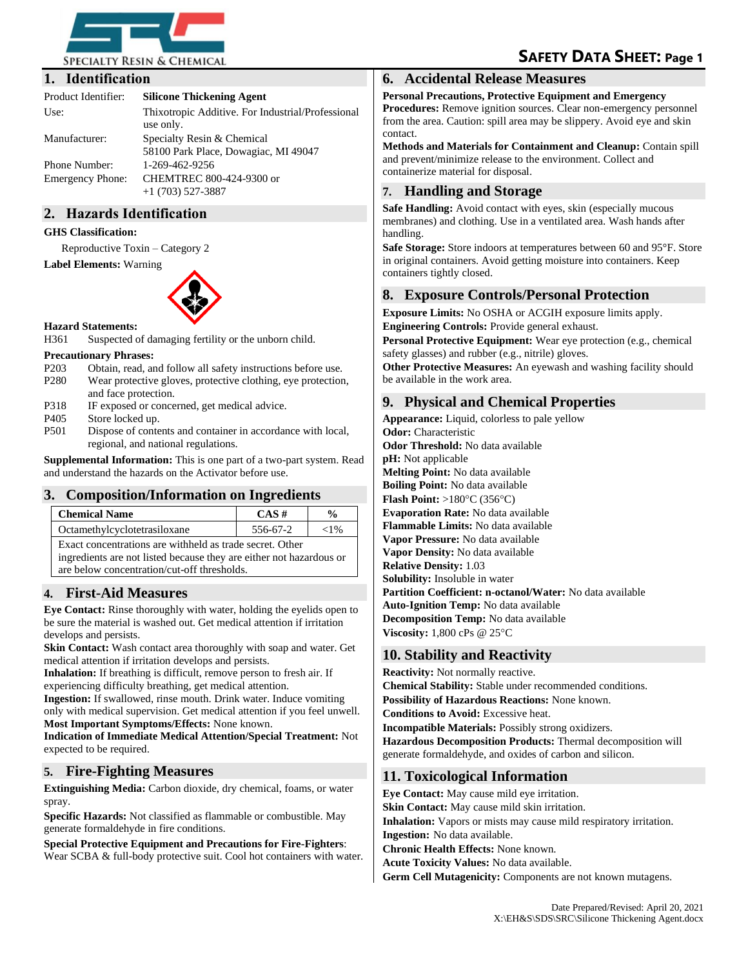

# **SAFETY DATA SHEET: Page 1**

### **1. Identification**

| Product Identifier:     | <b>Silicone Thickening Agent</b>                                   |  |
|-------------------------|--------------------------------------------------------------------|--|
| Use:                    | Thixotropic Additive. For Industrial/Professional<br>use only.     |  |
| Manufacturer:           | Specialty Resin & Chemical<br>58100 Park Place, Dowagiac, MI 49047 |  |
| Phone Number:           | 1-269-462-9256                                                     |  |
| <b>Emergency Phone:</b> | CHEMTREC 800-424-9300 or<br>$+1$ (703) 527-3887                    |  |

# **2. Hazards Identification**

#### **GHS Classification:**

Reproductive Toxin – Category 2

#### **Label Elements:** Warning



#### **Hazard Statements:**

H361 Suspected of damaging fertility or the unborn child.

#### **Precautionary Phrases:**

- P203 Obtain, read, and follow all safety instructions before use.
- P280 Wear protective gloves, protective clothing, eye protection, and face protection.
- P318 IF exposed or concerned, get medical advice.
- P<sub>405</sub> Store locked up.<br>P<sub>501</sub> Dispose of conte
- Dispose of contents and container in accordance with local, regional, and national regulations.

**Supplemental Information:** This is one part of a two-part system. Read and understand the hazards on the Activator before use.

#### **3. Composition/Information on Ingredients**

| <b>Chemical Name</b>                                     | $CAS \#$ | $\frac{0}{0}$ |  |
|----------------------------------------------------------|----------|---------------|--|
| Octamethylcyclotetrasiloxane                             | 556-67-2 | ${<}1\%$      |  |
| Exact concentrations are withheld as trade secret. Other |          |               |  |

ingredients are not listed because they are either not hazardous or are below concentration/cut-off thresholds.

# **4. First-Aid Measures**

**Eye Contact:** Rinse thoroughly with water, holding the eyelids open to be sure the material is washed out. Get medical attention if irritation develops and persists.

**Skin Contact:** Wash contact area thoroughly with soap and water. Get medical attention if irritation develops and persists.

**Inhalation:** If breathing is difficult, remove person to fresh air. If experiencing difficulty breathing, get medical attention.

**Ingestion:** If swallowed, rinse mouth. Drink water. Induce vomiting only with medical supervision. Get medical attention if you feel unwell. **Most Important Symptoms/Effects:** None known.

**Indication of Immediate Medical Attention/Special Treatment:** Not expected to be required.

# **5. Fire-Fighting Measures**

**Extinguishing Media:** Carbon dioxide, dry chemical, foams, or water spray.

**Specific Hazards:** Not classified as flammable or combustible. May generate formaldehyde in fire conditions.

**Special Protective Equipment and Precautions for Fire-Fighters**: Wear SCBA & full-body protective suit. Cool hot containers with water.

### **6. Accidental Release Measures**

**Personal Precautions, Protective Equipment and Emergency Procedures:** Remove ignition sources. Clear non-emergency personnel

from the area. Caution: spill area may be slippery. Avoid eye and skin contact. **Methods and Materials for Containment and Cleanup:** Contain spill

and prevent/minimize release to the environment. Collect and containerize material for disposal.

# **7. Handling and Storage**

**Safe Handling:** Avoid contact with eyes, skin (especially mucous membranes) and clothing. Use in a ventilated area. Wash hands after handling.

**Safe Storage:** Store indoors at temperatures between 60 and 95°F. Store in original containers. Avoid getting moisture into containers. Keep containers tightly closed.

# **8. Exposure Controls/Personal Protection**

**Exposure Limits:** No OSHA or ACGIH exposure limits apply.

**Engineering Controls:** Provide general exhaust.

**Personal Protective Equipment:** Wear eye protection (e.g., chemical safety glasses) and rubber (e.g., nitrile) gloves.

**Other Protective Measures:** An eyewash and washing facility should be available in the work area.

# **9. Physical and Chemical Properties**

**Appearance:** Liquid, colorless to pale yellow **Odor:** Characteristic **Odor Threshold:** No data available **pH:** Not applicable **Melting Point:** No data available **Boiling Point:** No data available **Flash Point:**  $>180^{\circ}$ C (356 $^{\circ}$ C) **Evaporation Rate:** No data available **Flammable Limits:** No data available **Vapor Pressure:** No data available **Vapor Density:** No data available **Relative Density:** 1.03 **Solubility:** Insoluble in water **Partition Coefficient: n-octanol/Water:** No data available **Auto-Ignition Temp:** No data available **Decomposition Temp:** No data available **Viscosity:** 1,800 cPs @ 25°C

# **10. Stability and Reactivity**

**Reactivity:** Not normally reactive. **Chemical Stability:** Stable under recommended conditions. **Possibility of Hazardous Reactions:** None known. **Conditions to Avoid:** Excessive heat. **Incompatible Materials:** Possibly strong oxidizers. **Hazardous Decomposition Products:** Thermal decomposition will generate formaldehyde, and oxides of carbon and silicon.

# **11. Toxicological Information**

**Eye Contact:** May cause mild eye irritation. **Skin Contact:** May cause mild skin irritation. **Inhalation:** Vapors or mists may cause mild respiratory irritation. **Ingestion:** No data available. **Chronic Health Effects:** None known. **Acute Toxicity Values:** No data available. **Germ Cell Mutagenicity:** Components are not known mutagens.